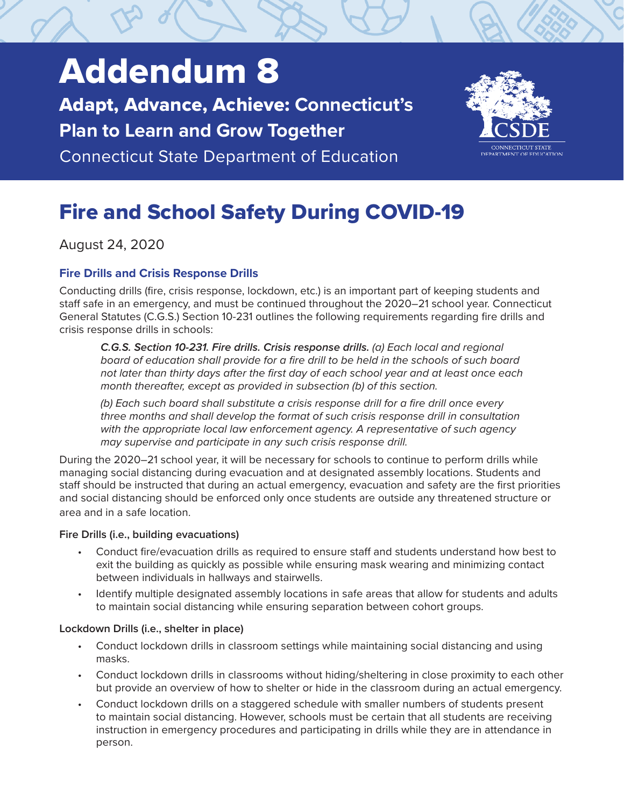# Addendum 8

Adapt, Advance, Achieve: **Connecticut's Plan to Learn and Grow Together**

Connecticut State Department of Education



# Fire and School Safety During COVID-19

August 24, 2020

# **Fire Drills and Crisis Response Drills**

Conducting drills (fire, crisis response, lockdown, etc.) is an important part of keeping students and staff safe in an emergency, and must be continued throughout the 2020–21 school year. Connecticut General Statutes (C.G.S.) Section 10-231 outlines the following requirements regarding fire drills and crisis response drills in schools:

*C.G.S. Section 10-231. Fire drills. Crisis response drills. (a) Each local and regional board of education shall provide for a fire drill to be held in the schools of such board not later than thirty days after the first day of each school year and at least once each month thereafter, except as provided in subsection (b) of this section.*

*(b) Each such board shall substitute a crisis response drill for a fire drill once every three months and shall develop the format of such crisis response drill in consultation with the appropriate local law enforcement agency. A representative of such agency may supervise and participate in any such crisis response drill.*

During the 2020–21 school year, it will be necessary for schools to continue to perform drills while managing social distancing during evacuation and at designated assembly locations. Students and staff should be instructed that during an actual emergency, evacuation and safety are the first priorities and social distancing should be enforced only once students are outside any threatened structure or area and in a safe location.

# **Fire Drills (i.e., building evacuations)**

- Conduct fire/evacuation drills as required to ensure staff and students understand how best to exit the building as quickly as possible while ensuring mask wearing and minimizing contact between individuals in hallways and stairwells.
- Identify multiple designated assembly locations in safe areas that allow for students and adults to maintain social distancing while ensuring separation between cohort groups.

# **Lockdown Drills (i.e., shelter in place)**

- Conduct lockdown drills in classroom settings while maintaining social distancing and using masks.
- Conduct lockdown drills in classrooms without hiding/sheltering in close proximity to each other but provide an overview of how to shelter or hide in the classroom during an actual emergency.
- Conduct lockdown drills on a staggered schedule with smaller numbers of students present to maintain social distancing. However, schools must be certain that all students are receiving instruction in emergency procedures and participating in drills while they are in attendance in person.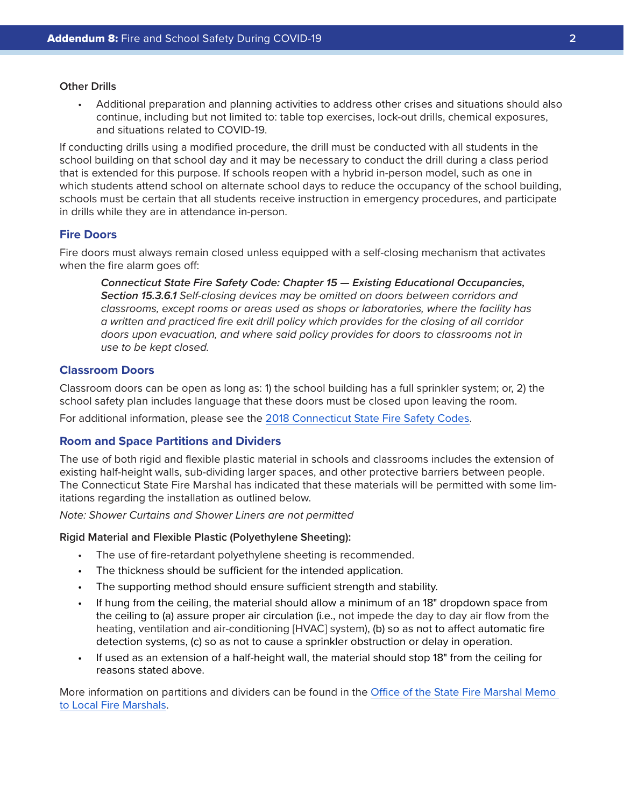#### **Other Drills**

• Additional preparation and planning activities to address other crises and situations should also continue, including but not limited to: table top exercises, lock-out drills, chemical exposures, and situations related to COVID-19.

If conducting drills using a modified procedure, the drill must be conducted with all students in the school building on that school day and it may be necessary to conduct the drill during a class period that is extended for this purpose. If schools reopen with a hybrid in-person model, such as one in which students attend school on alternate school days to reduce the occupancy of the school building, schools must be certain that all students receive instruction in emergency procedures, and participate in drills while they are in attendance in-person.

### **Fire Doors**

Fire doors must always remain closed unless equipped with a self-closing mechanism that activates when the fire alarm goes off:

*Connecticut State Fire Safety Code: Chapter 15 — Existing Educational Occupancies, Section 15.3.6.1 Self-closing devices may be omitted on doors between corridors and classrooms, except rooms or areas used as shops or laboratories, where the facility has a written and practiced fire exit drill policy which provides for the closing of all corridor doors upon evacuation, and where said policy provides for doors to classrooms not in use to be kept closed.*

#### **Classroom Doors**

Classroom doors can be open as long as: 1) the school building has a full sprinkler system; or, 2) the school safety plan includes language that these doors must be closed upon leaving the room.

For additional information, please see the [2018 Connecticut State Fire Safety Codes.](https://portal.ct.gov/DAS/Office-of-State-Fire-Marshal/CT-Fire-Safety-and-Prevention-Codes)

#### **Room and Space Partitions and Dividers**

The use of both rigid and flexible plastic material in schools and classrooms includes the extension of existing half-height walls, sub-dividing larger spaces, and other protective barriers between people. The Connecticut State Fire Marshal has indicated that these materials will be permitted with some limitations regarding the installation as outlined below.

*Note: Shower Curtains and Shower Liners are not permitted*

#### **Rigid Material and Flexible Plastic (Polyethylene Sheeting):**

- The use of fire-retardant polyethylene sheeting is recommended.
- The thickness should be sufficient for the intended application.
- The supporting method should ensure sufficient strength and stability.
- If hung from the ceiling, the material should allow a minimum of an 18" dropdown space from the ceiling to (a) assure proper air circulation (i.e., not impede the day to day air flow from the heating, ventilation and air-conditioning [HVAC] system), (b) so as not to affect automatic fire detection systems, (c) so as not to cause a sprinkler obstruction or delay in operation.
- If used as an extension of a half-height wall, the material should stop 18" from the ceiling for reasons stated above.

More information on partitions and dividers can be found in the [Office of the State Fire Marshal Memo](https://portal.ct.gov/-/media/SDE/COVID-19/DAS-Schools_Reopening_During_Pandemic.pdf)  [to Local Fire Marshals](https://portal.ct.gov/-/media/SDE/COVID-19/DAS-Schools_Reopening_During_Pandemic.pdf).